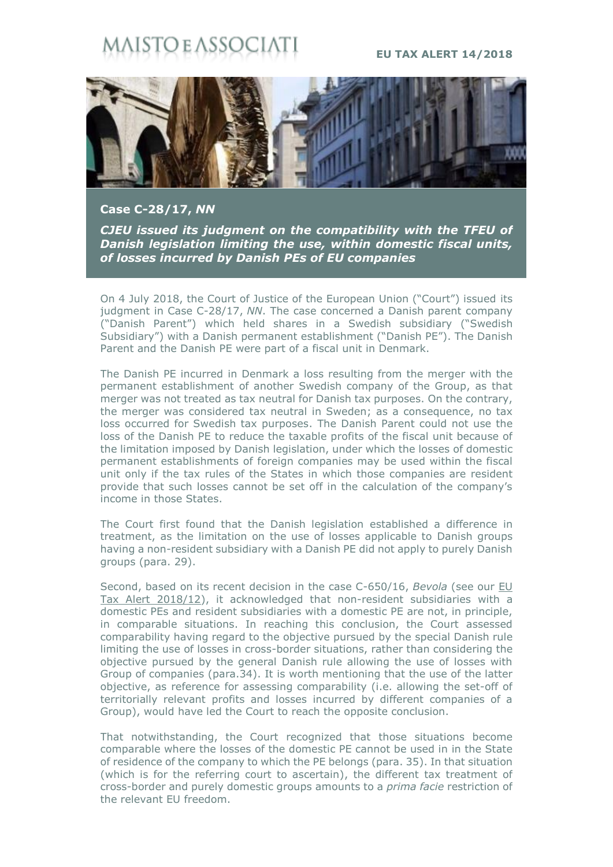## STO E ASSO(

## **EU TAX ALERT 14/2018**



**Case C-28/17,** *NN*

*CJEU issued its judgment on the compatibility with the TFEU of Danish legislation limiting the use, within domestic fiscal units, of losses incurred by Danish PEs of EU companies*

On 4 July 2018, the Court of Justice of the European Union ("Court") issued its judgment in Case C-28/17, *NN*. The case concerned a Danish parent company ("Danish Parent") which held shares in a Swedish subsidiary ("Swedish Subsidiary") with a Danish permanent establishment ("Danish PE"). The Danish Parent and the Danish PE were part of a fiscal unit in Denmark.

The Danish PE incurred in Denmark a loss resulting from the merger with the permanent establishment of another Swedish company of the Group, as that merger was not treated as tax neutral for Danish tax purposes. On the contrary, the merger was considered tax neutral in Sweden; as a consequence, no tax loss occurred for Swedish tax purposes. The Danish Parent could not use the loss of the Danish PE to reduce the taxable profits of the fiscal unit because of the limitation imposed by Danish legislation, under which the losses of domestic permanent establishments of foreign companies may be used within the fiscal unit only if the tax rules of the States in which those companies are resident provide that such losses cannot be set off in the calculation of the company's income in those States.

The Court first found that the Danish legislation established a difference in treatment, as the limitation on the use of losses applicable to Danish groups having a non-resident subsidiary with a Danish PE did not apply to purely Danish groups (para. 29).

Second, based on its recent decision in the case C-650/16, *Bevola* (see our [EU](https://www.maisto.it/it/newsletter/eu-tax-alert--45.html)  [Tax Alert 2018/12\)](https://www.maisto.it/it/newsletter/eu-tax-alert--45.html), it acknowledged that non-resident subsidiaries with a domestic PEs and resident subsidiaries with a domestic PE are not, in principle, in comparable situations. In reaching this conclusion, the Court assessed comparability having regard to the objective pursued by the special Danish rule limiting the use of losses in cross-border situations, rather than considering the objective pursued by the general Danish rule allowing the use of losses with Group of companies (para.34). It is worth mentioning that the use of the latter objective, as reference for assessing comparability (i.e. allowing the set-off of territorially relevant profits and losses incurred by different companies of a Group), would have led the Court to reach the opposite conclusion.

That notwithstanding, the Court recognized that those situations become comparable where the losses of the domestic PE cannot be used in in the State of residence of the company to which the PE belongs (para. 35). In that situation (which is for the referring court to ascertain), the different tax treatment of cross-border and purely domestic groups amounts to a *prima facie* restriction of the relevant EU freedom.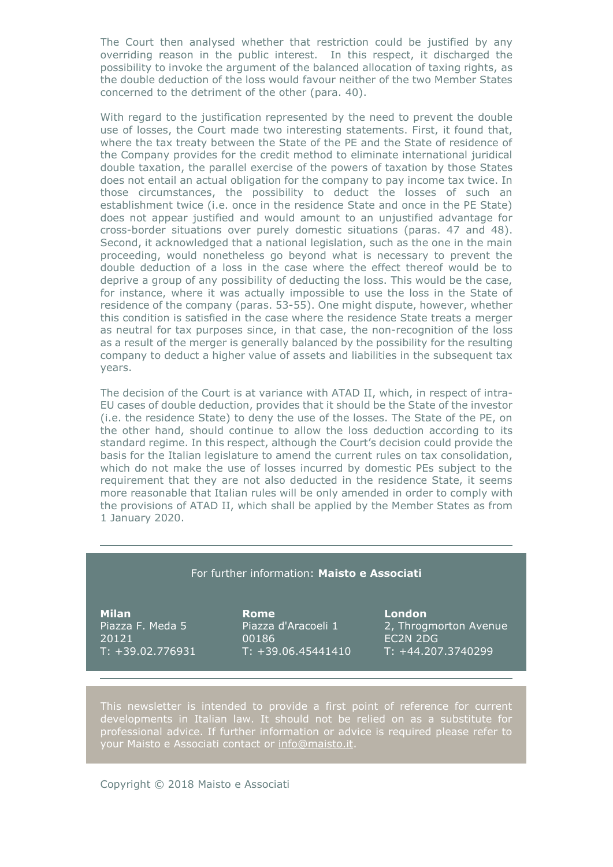The Court then analysed whether that restriction could be justified by any overriding reason in the public interest. In this respect, it discharged the possibility to invoke the argument of the balanced allocation of taxing rights, as the double deduction of the loss would favour neither of the two Member States concerned to the detriment of the other (para. 40).

With regard to the justification represented by the need to prevent the double use of losses, the Court made two interesting statements. First, it found that, where the tax treaty between the State of the PE and the State of residence of the Company provides for the credit method to eliminate international juridical double taxation, the parallel exercise of the powers of taxation by those States does not entail an actual obligation for the company to pay income tax twice. In those circumstances, the possibility to deduct the losses of such an establishment twice (i.e. once in the residence State and once in the PE State) does not appear justified and would amount to an unjustified advantage for cross-border situations over purely domestic situations (paras. 47 and 48). Second, it acknowledged that a national legislation, such as the one in the main proceeding, would nonetheless go beyond what is necessary to prevent the double deduction of a loss in the case where the effect thereof would be to deprive a group of any possibility of deducting the loss. This would be the case, for instance, where it was actually impossible to use the loss in the State of residence of the company (paras. 53-55). One might dispute, however, whether this condition is satisfied in the case where the residence State treats a merger as neutral for tax purposes since, in that case, the non-recognition of the loss as a result of the merger is generally balanced by the possibility for the resulting company to deduct a higher value of assets and liabilities in the subsequent tax years.

The decision of the Court is at variance with ATAD II, which, in respect of intra-EU cases of double deduction, provides that it should be the State of the investor (i.e. the residence State) to deny the use of the losses. The State of the PE, on the other hand, should continue to allow the loss deduction according to its standard regime. In this respect, although the Court's decision could provide the basis for the Italian legislature to amend the current rules on tax consolidation, which do not make the use of losses incurred by domestic PEs subject to the requirement that they are not also deducted in the residence State, it seems more reasonable that Italian rules will be only amended in order to comply with the provisions of ATAD II, which shall be applied by the Member States as from 1 January 2020.

## For further information: **Maisto e Associati**

**Milan** Piazza F. Meda 5 20121 T: +39.02.776931

**Rome** Piazza d'Aracoeli 1 00186  $T: +39.06.45441410$  **London** 2, Throgmorton Avenue EC2N 2DG T: +44.207.3740299

This newsletter is intended to provide a first point of reference for current developments in Italian law. It should not be relied on as a substitute for professional advice. If further information or advice is required please refer to your Maisto e Associati contact or [info@maisto.it.](mailto:info@maisto.it)

Copyright © 2018 Maisto e Associati